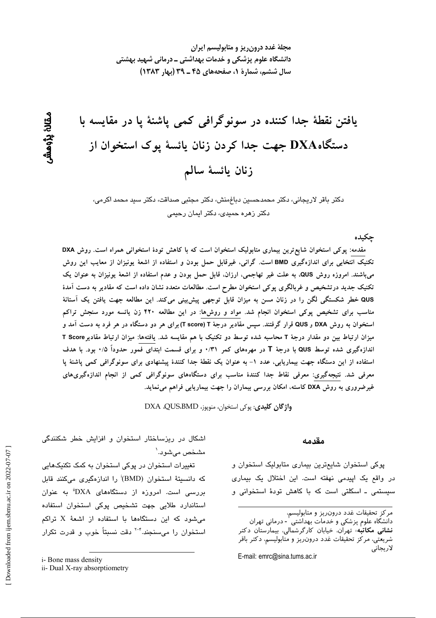مجلهٔ غدد درون ریز و متابولیسم ایران دانشگاه علوم پزشکی و خدمات بهداشتی ــ درمانی شهید بهشتی سال ششم، شمارة 1، صفحههای ۴۵ ـ ۳۹ (بهار ۱۳۸۳)

يافتن نقطهٔ جدا كننده در سونوگرافی كمی ياشنهٔ يا در مقايسه با دستگاهDXA جهت جدا کردن زنان یائسهٔ پوک استخوان از زنان يائسة سالم

دکتر باقر لاریجانی، دکتر محمدحسین دباغمنش، دکتر مجتبی صداقت، دکتر سید محمد اکرمی، دکتر زهره حمی*دی، د*کتر ایمان رحی*می* 

جكىدە

مقدمه: پوکی استخوان شایع ترین بیماری متابولیک استخوان است که با کاهش تودهٔ استخوانی همراه است. روش DXA تکنیک انتخابی برای اندازهگیری BMD است. گرانی، غیرقابل حمل بودن و استفاده از اشعهٔ یونیزان از معایب این روش میباشند. امروزه روش QUS، به علت غیر تهاجمی، ارزان، قابل حمل بودن و عدم استفاده از اشعهٔ یونیزان به عنوان یک تکنیک جدید درتشخیص و غربالگری پوکی استخوان مطرح است. مطالعات متعدد نشان داده است که مقادیر به دست آمدهٔ QUS خطر شکستگی لگن را در زنان مسن به میزان قابل توجهی پیش بینی میکند. این مطالعه جهت یافتن یک آستانهٔ مناسب برای تشخیص پوکی استخوان انجام شد. مواد و روشها: در این مطالعه ۴۲۰ زن یائسه مورد سنجش تراکم استخوان به روش DXA و QUS قرار گرفتند. سپس مقادیر درجهٔ T (T score) برای هر دو دستگاه در هر فرد به دست آمد و میزان ارتباط بین دو مقدار درجهٔ T محاسبه شده توسط دو تکنیک با هم مقایسه شد. یافتهها: میزان ارتباط مقادیرT Score اندازهگیری شده توسط QUS با درجهٔ T در مهرههای کمر ۰/۳۱ و برای قسمت ابتدای فمور حدوداً ۰/۵ بود. با هدف استفاده از این دستگاه جهت بیماریابی، عدد ۱– به عنوان یک نقطهٔ جدا کنندهٔ پیشنهادی برای سونوگرافی کمی پاشنهٔ پا معرفی شد. نتیجهگیری: معرفی نقاط جدا کنندهٔ مناسب برای دستگاههای سونوگرافی کمی از انجام اندازهگیریهای غیرضروری به روش DXA کاسته، امکان بررسی بیماران را جهت بیماریابی فراهم می نماید.

واژگان کلیدی: یوکی استخوان، منویوز، DXA .QUS.BMD

مقدمه

پوکی استخوان شایعترین بیماری متابولیک استخوان و در واقع یک اپیدمی نهفته است. این اختلال یک بیماری سیستمی ـ اسکلتی است که با کاهش تودهٔ استخوانی و

دانشگاه علوم پزشکی و خدمات بهداشتی ٰ - درمانی تهران **نشانی مکاتبه**، تهران، خیابان کارگرشمالی، بیمارستان دکتر شریعتی، مرکز تحقیقات غدد درون ریز و متابولیسم، دکتر باقر لاريجانى

E-mail: emrc@sina.tums.ac.ir

اشکال در ریزساختار استخوان و افزایش خطر شکنندگی مشخص مي شود.'

تغییرات استخوان در پوکی استخوان به کمک تکنیکهایی كه دانسيتهٔ استخوان (BMD) را اندازهگيری میكنند قابل بررسی است. امروزه از دستگاههای DXA" به عنوان استاندارد طلایی جهت تشخیص پوکی استخوان استفاده می شود که این دستگاهها با استفاده از اشعهٔ X تراکم استخوان را می سنجند.<sup>۲-۲</sup> دقت نسبتاً خوب و قدرت تکرار

ىقان بزومش

مركز تحقيقات غدد درون ريز و متابوليسم،

i- Bone mass density

ii- Dual X-ray absorptiometry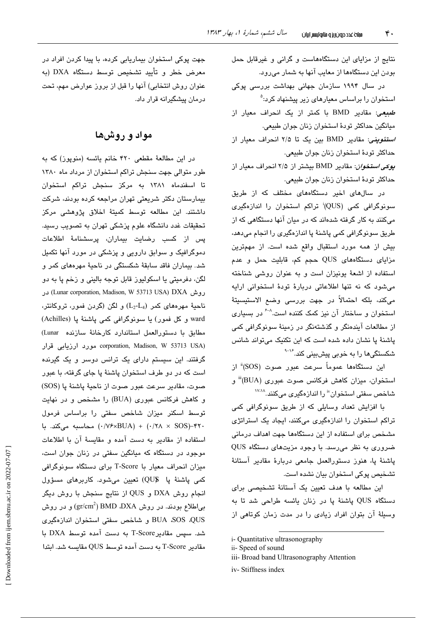نتایج از مزایای این دستگاههاست و گرانی و غیرقابل حمل بودن این دستگاهها از معایب آنها به شمار میرود.

در سال ۱۹۹۴ سازمان جهانی بهداشت بررسی پوکی استخوان را براساس معیارها*ی* زیر پیشنهاد کرد:<sup>۵</sup> *طبیعی*: مقادیر BMD با کمتر از یک انحراف معیار از ميانگين حداكثر تودهٔ استخوان زنان جوان طبيعي. /ستئوپنی: مقادیر BMD بین یک تا ۲/۵ انحراف معیار از حداكثر تودهٔ استخوان زنان جوان طبیعی.

بوكي استخوان: مقادير BMD بيشتر از ٢/٥ انحراف معيار از حداكثر تودهٔ استخوان زنان جوان طبیعی.

در سالهای اخیر دستگاههای مختلف که از طریق سونوگرافی کمی (QUS)<sup>:</sup> تراکم استخوان را اندازهگیری میکنند به کار گرفته شدهاند که در میان آنها دستگاهی که از طریق سونوگرافی کمی پاشنهٔ پا اندازهگیری را انجام میدهد، بیش از همه مورد استقبال واقع شده است. از مهمترین مزایای دستگاههای QUS حجم کم، قابلیت حمل و عدم استفاده از اشعهٔ یونیزان است و به عنوان روشی شناخته می شود که نه تنها اطلاعاتی دربارهٔ تودهٔ استخوانی ارابه می،کند، بلکه احتمالاً در جهت بررسی وضع الاستیسیتهٔ استخوان و ساختار آن نیز کمک کننده است. اگر بسیاری از مطالعات آیندەنگر و گذشتەنگر در زمینهٔ سونوگرافی کمی پاشنهٔ پا نشان داده شده است که این تکنیک میتواند شانس شکستگیها را به خوبی پیشبینی کند.<sup>۱۶</sup>۰

این دستگاهها عموماً سرعت عبور صوت (SOS)<sup>ة</sup> از استخوان، میزان کاهش فرکانس صوت عبوری (BUA)" و شاخص سفتی استخوان" را اندازهگیری میکنند.<sup>۱۷٬۱۸</sup>

با افزایش تعداد وسایلی که از طریق سونوگرافی کمی تراکم استخوان را اندازهگیری میکنند، ایجاد یک استراتژی مشخص برای استفاده از این دستگاهها جهت اهداف درمانی ضروری به نظر میرسد. با وجود مزیتهای دستگاه QUS پاشنهٔ پا، هنوز دستورالعمل جامعی دربارهٔ مقادیر آستانهٔ تشخیص پوکی استخوان بیان نشده است.

این مطالعه با هدف تعیین یک آستانهٔ تشخیصی برای دستگاه QUS پاشنهٔ پا در زنان یائسه طراحی شد تا به وسیلهٔ آن بتوان افراد زیادی را در مدت زمان کوتاهی از

جهت پوکی استخوان بیماریابی کرده، با پیدا کردن افراد در معرض خطر و تأیید تشخیص توسط دستگاه DXA (به عنوان روش انتخابی) آنها را قبل از بروز عوارض مهم، تحت درمان پیشگیرانه قرار داد.

# مواد و روشها

در این مطالعهٔ مقطعی ۴۲۰ خانم یائسه (منوپوز) که به طور متوالی جهت سنجش تراکم استخوان از مرداد ماه ۱۳۸۰ تا اسفندماه ۱۳۸۱ به مرکز سنجش تراکم استخوان بیمارستان دکتر شریعتی تهران مراجعه کرده بودند، شرکت داشتند. این مطالعه توسط کمیتهٔ اخلاق پژوهشی مرکز تحقیقات غدد دانشگاه علوم پزشکی تهران به تصویب رسید. پس از کسب رضایت بیماران، پرسشنامهٔ اطلاعات دموگرافیک و سوابق دارویی و پزشکی در مورد آنها تکمیل شد. بیماران فاقد سابقهٔ شکستگی در ناحیهٔ مهرههای کمر و لگن، دفرميتي يا اسكوليوز قابل توجه باليني و زخم پا به دو روش (Lunar corporation, Madison, W 53713 USA) DXA در ناحیهٔ مهرههای کمر (L2-L4) و لگن (گردن فمور، تروکانتر، ward و کل فمور) يا سونوگرافي کمي پاشنهٔ يا (Achilles) مطابق با دستورالعمل استاندارد كارخانهٔ سازنده Lunar) oorporation, Madison, W 53713 USA) مورد ارزيابي قرار گرفتند. این سیستم دارای یک ترانس دوسر و یک گیرنده است که در دو طرف استخوان پاشنهٔ پا جای گرفته، با عبور صوت، مقادير سرعت عبور صوت از ناحيهٔ پاشنهٔ پا (SOS) و کاهش فرکانس عبوری (BUA) را مشخص و در نهایت توسط اسکنر میزان شاخص سفتی را براساس فرمول ۴۲۰-(۰/۲۸ × ۰/۲۸) + (۰/۷۶×۱۷۶) محاسبه میکند. با استفاده از مقادیر به دست آمده و مقایسهٔ آن با اطلاعات موجود در دستگاه که میانگین سفتی در زنان جوان است، میزان انحراف معیار با T-Score برای دستگاه سونوگرافی كمى پاشنهٔ پا ©QU) تعيين مىشود. كاربرهاى مسؤول انجام روش DXA و QUS از نتايج سنجش با روش ديگر بی|طلاع بودند. در روش BMD ،DXA ('gr/cm $^2$ ) و در روش BUA ،SOS ،QUS و شاخص سفتى استخوان اندازهگيرى شد. سيس مقادير T-Score به دست آمده توسط DXA با مقادىر T-Score به دست آمده توسط QUS مقاسيه شد. ابتدا

i- Quantitative ultrasonography

ii-Speed of sound

iii- Broad band Ultrasonography Attention

iv-Stiffness index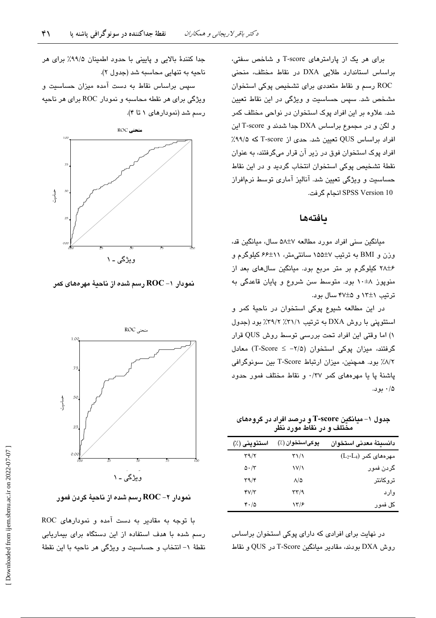برای هر یک از پارامترهای T-score و شاخص سفتی، براساس استاندارد طلایی DXA در نقاط مختلف، منحنی ROC رسم و نقاط متعددی برای تشخیص پوکی استخوان مشخص شد. سپس حساسیت و ویژگی در این نقاط تعیین شد. علاوه بر این افراد پوک استخوان در نواحی مختلف کمر و لگن و در مجموع براساس DXA جدا شدند و T-score این افراد براساس QUS تعیین شد. حدی از T-score که ۹۹/۵٪ افراد پوک استخوان فوق در زیر آن قرار میگرفتند، به عنوان نقطهٔ تشخیص پوکی استخوان انتخاب گردید و در این نقاط حساسیت و ویژگی تعیین شد. آنالیز آماری توسط نرمافراز SPSS Version 10 انجام گرفت.

## بافتهها

میانگین سنی افراد مورد مطالعه ۵۸±۵ سال، میانگین قد، وزن و BMI به ترتیب ۷±۱۵۵ سانتی متر، ۱۱±۶۶ کیلوگرم و ۰/۲۸±۶ کیلوگرم بر متر مربع بود. میانگین سالهای بعد از منوپوز ۸±۱۰ بود. متوسط سن شروع و پایان قاعدگی به ترتیب ١٢±١٢ و ۴۷±۴ سال بود.

در این مطالعه شیوع پوکی استخوان در ناحیهٔ کمر و استئوپنی با روش DXA به ترتیب ۳۱/۱٪ ۳۹/۲٪ بود (جدول ١) اما وقتى اين افراد تحت بررسى توسط روش QUS قرار گرفتند، میزان یوکی استخوان (۲/۵− ≥ T-Score) معادل ٨/٢٪ بود. همچنین، میزان ارتباط T-Score بین سونوگرافی پاشنهٔ پا یا مهرههای کمر ۰/۳۷ و نقاط مختلف فمور حدود ۰/۵ بود.

جدول ۱– میانگین T-score و درصد افراد در گروههای مختلف و در نقاط مورد نظر

| استئوپنی (٪)                      | پوکیاستخوان (٪)      | دانسيتة معدنى استخوان   |
|-----------------------------------|----------------------|-------------------------|
| $\tau \gamma / \tau$              | ۳۱/۱                 | $(L_2-L_4)$ مهرههای کمر |
| $\Delta \cdot / \tau$             | $V/\lambda$          | گردن فمور               |
| $\mathbf{r}\mathbf{a}/\mathbf{r}$ | $\Lambda/\Delta$     | تروكانتر                |
| YV/Y                              | $\tau\tau/9$         | وارد                    |
| 4.10                              | $\frac{1}{\epsilon}$ | کل فمور                 |

در نهایت برای افرادی که دارای پوکی استخوان براساس روش DXA بودند، مقادیر میانگین T-Score در QUS و نقاط

جدا كنندهٔ بالایی و پایینی با حدود اطمینان ۹۹/۵٪ برای هر ناحيه به تنهايي محاسبه شد (جدول ٢).

سیس براساس نقاط به دست آمده میزان حساسیت و ويژگي براي هر نقطه محاسبه و نمودار ROC براي هر ناحيه رسم شد (نمودارهای ۱ تا ۴).



نمودار 1– ROC رسم شده از ناحيهٔ مهرههای کمر



نمودار ۲– ROC رسم شده از ناحيهٔ گردن فمور

با توجه به مقادیر به دست آمده و نمودارهای ROC رسم شده یا هدف استفاده از این دستگاه برای بیماریایی نقطهٔ ١- انتخاب و حساسیت و ویژگی هر ناحیه با این نقطهٔ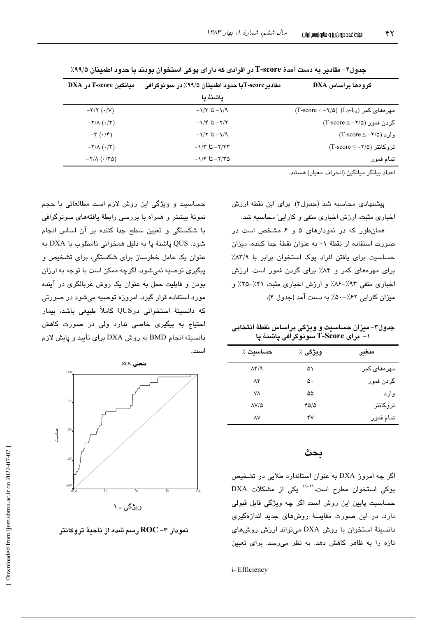| گروهها براساس DXA                                                                                       | مقادير T-score با حدود اطمينان ۹۹/۵٪ در سونوگرافي | میانگین T-score در DXA                 |
|---------------------------------------------------------------------------------------------------------|---------------------------------------------------|----------------------------------------|
|                                                                                                         | ياشنة يا                                          |                                        |
| $(T\text{-score} < -\text{\texttt{Y}}/\text{\texttt{0}})$ (L <sub>2</sub> -L <sub>4</sub> ) مهرههای کمر | $-\frac{1}{2}$ 1/3 تا ۱/۳                         | $-\tau/\tau$ ( $\cdot/\nu$ )           |
| گردن فمور (۲/۵− = T-score)                                                                              | $-\frac{1}{2}$ تا ۱/۴– تا                         | $-\frac{1}{\Lambda}(\cdot/\tau)$       |
| $(T\text{-score} \leq -7/\Delta)$ وارد (                                                                | $-\frac{1}{2}$ تا ۱/۲ ت                           | $-\tau$ $(\cdot/\tau)$                 |
| $(T\text{-score} \leq -\text{\sf Y}/\text{\sf Q})$ تروكانتر (2                                          | $-1/T$ تا ۱/۳۳                                    | $-\Upsilon/\Lambda$ $(\cdot/\Upsilon)$ |
| تمام فمور                                                                                               | $-1/5$ تا ۱/۴ $-7/7$ ۵                            | $-Y/\Lambda$ ( $-Y\Delta$ )            |

جدول۲– مقادىر به دست آمدهٔ T-score در افرادى كه داراى پوكى استخوان بودند با حدود اطمينان ۹۹/۵٪

اعداد بيانگر ميانگين (انحراف معيار) هستند.

پیشنهادی محاسبه شد (جدول۳). برای این نقطه ارزش اخباری مثبت، ارزش اخباری منفی و کارایی<sup>:</sup> محاسبه شد.

همانطور که در نمودارهای ۵ و ۶ مشخص است در صورت استفاده از نقطهٔ ١- به عنوان نقطهٔ جدا کننده، میزان حساسیت برای یافتن افراد یوک استخوان برابر با ۸۳/۹٪ برای مهرههای کمر و ۸۴٪ برای گردن فمور است. ارزش اخباری منفی ۹۳٪-۸۶٪ و ارزش اخباری مثبت ۴۱٪-۲۵٪ و میزان کارایی ۶۲٪-۵۰٪ به دست آمد (جدول ۴).

جدول۳- میزان حساسیت و ویژگی براساس نقطهٔ انتخابی ۱- ٌ بِرَاى T-Score سَونوگرافى پاشنهٔ پا

| حساسىت ٪                     | ويژگى ٪ | متغير       |
|------------------------------|---------|-------------|
| $\Lambda \Upsilon / \Lambda$ | ۵۱      | مهرههای کمر |
| ۸۴                           | ۵۰      | گردن فمور   |
| ۷٨                           | ۵۵      | وارد        |
| $\Delta V/\Delta$            | 4010    | تروكانتر    |
| ٨٧                           | ۴۷      | تمام فمور   |

## ىحث

اگر چه امروز DXA به عنوان استاندارد طلایی در تشخیص پوکی استخوان مطرح است،<sup>۳۱-۲۱</sup> یکی از مشکلات DXA حساسيت پايين اين روش است اگر چه ويژگی قابل قبولی دارد. در این صورت مقایسهٔ روشهای جدید اندازهگیری دانسیتهٔ استخوان با روش DXA میتواند ارزش روش های تازه را به ظاهر کاهش دهد. به نظر می رسد. برای تعبین

حساسیت و ویژگی این روش لازم است مطالعاتی با حجم نمونهٔ بیشتر و همراه با بررسی رابطهٔ یافتههای سونوگرافی با شکستگی و تعیین سطح جدا کننده بر آن اساس انجام شود. QUS پاشنهٔ پا به دلیل همخوانی نامطلوب با DXA به عنوان یک عامل خطرساز برای شکستگی، برای تشخیص و پیگیری توصیه نمیشود، اگرچه ممکن است با توجه به ارزان بودن و قابلیت حمل به عنوان یک روش غربالگری در آینده مورد استفاده قرار گیرد. امروزه توصیه میشود در صورتی که دانسیتهٔ استخوانی درQUS کاملاً طبیعی باشد، بیمار احتیاج به پیگیری خاصی ندارد ولی در صورت کاهش دانسیته انجام BMD به روش DXA برای تأیید و پایش لازم استدى



نمودار ۳– ROC رسم شده از ناحیهٔ تروکانتر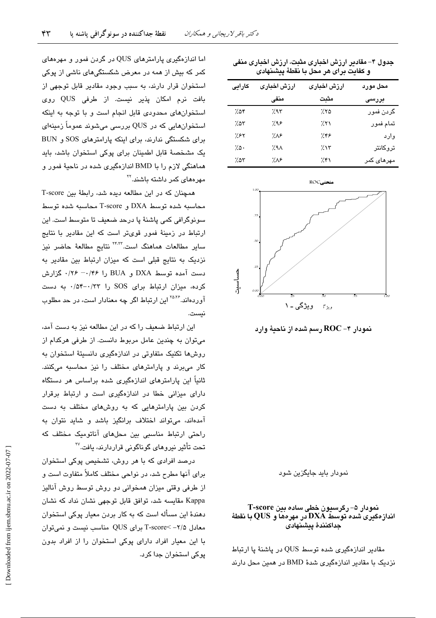|         | و كفايت براى هر محل با نقطهٔ پيشنهادى |                 |                    |  |  |  |
|---------|---------------------------------------|-----------------|--------------------|--|--|--|
| كارايى  | ارزش اخبارى                           | ارزش اخبارى     | محل مورد           |  |  |  |
|         | منفى                                  | مثبت            | بررسی              |  |  |  |
| ۷۵۴     | ٬۹۳                                   | 7.70            | گردن فمور          |  |  |  |
| 7.07    | ۶۸۶.                                  | 7.51            | تمام فمور          |  |  |  |
| ۶۲٪     | ۸۶.                                   | ۶۳۶.            | وارد               |  |  |  |
| $7.0 -$ | 7.9 <sub>A</sub>                      | 7.15            | تروكانتر           |  |  |  |
| 7.05    | ۱٬۸۶                                  | $\mathcal{H}$ ۱ | مهرها <i>ی</i> کمر |  |  |  |
|         |                                       |                 |                    |  |  |  |

جدول ۴– مقادیر ارزش اخباری مثبت، ارزش اخباری منفی



نمودار بابد جایگزین شود

### نمودار ۵– رگرسیون خطی ساده بین T-score انداز دکیری شده توسط DXA در مهرهها و QUS با نقطهٔ جداكنندة پيشنهادى

مقادیر اندازهگیری شده توسط QUS در یاشنهٔ یا ارتباط نزدیک با مقادیر اندازهگیری شدهٔ BMD در همین محل دارند

اما اندازهگیری پارامترهای QUS در گردن فمور و مهرههای کمر که بیش از همه در معرض شکستگیهای ناشی از پوکی استخوان قرار دارند، به سبب وجود مقادیر قابل توجهی از بافت نرم امكان پذير نيست. از طرفى QUS روى استخوانهای محدودی قابل انجام است و با توجه به اینکه استخوانهایی که در QUS بررسی میشوند عموماً زمینهای برای شکستگی ندارند، برای اینکه پارامترهای SOS و BUN یک مشخصهٔ قابل اطمینان برای پوکی استخوان باشد، باید هماهنگی لازم را با BMD اندازهگیری شده در ناحیهٔ فمور و مهرهها*ی* کمر داشته باشند.<sup>۲۲</sup>

همچنان که در این مطالعه دیده شد، رابطهٔ بین T-score محاسبه شده توسط DXA و T-score محاسبه شده توسط سونوگرافی کمی پاشنهٔ پا درحد ضعیف تا متوسط است. این ارتباط در زمینهٔ فمور قویتر است که این مقادیر با نتایج سایر مطالعات هماهنگ است.<sup>۲۴٬۲۲</sup> نتایج مطالعهٔ حاضر نیز نزدیک به نتایج قبلی است که میزان ارتباط بین مقادیر به دست آمده توسط DXA و BUA را ۰/۴۶– ۰/۴۶ گزارش کرده، میزان ارتباط برای SOS را ۰/۵۴-۰/۳۳ به دست آوردهاند.<sup>۲۵،۲۶</sup> این ارتباط اگر چه معنادار است، در حد مطلوب نست.

این ارتباط ضعیف را که در این مطالعه نیز به دست آمد، میتوان به چندین عامل مربوط دانست. از طرفی هرکدام از روشها تکنیک متفاوتی در اندازهگیری دانسیتهٔ استخوان به کار می برند و پارامترهای مختلف را نیز محاسبه میکنند. ثانیاً این پارامترهای اندازهگیری شده براساس هر دستگاه دارای میزانی خطا در اندازهگیری است و ارتباط برقرار کردن بین پارامترهایی که به روشهای مختلف به دست آمدهاند، میتواند اختلاف برانگیز باشد و شاید نتوان به راحتی ارتباط مناسبی بین محلهای آناتومیک مختلف که تحت تأثير نيروهاي گوناگوني قراردارند، يافت.<sup>۲۷</sup>

درصد افرادی که با هر روش، تشخیص پوکی استخوان برای آنها مطرح شد، در نواحی مختلف کاملاً متفاوت است و از طرفی وقتی میزان همخوانی دو روش توسط روش آنالیز Kappa مقایسه شد، توافق قابل توجهی نشان نداد که نشان دهندهٔ این مسأله است که به کار بردن معیار پوکی استخوان معادل ۲/۵– >T-score برای QUS مناسب نیست و نمیتوان با این معیار افراد دارای پوکی استخوان را از افراد بدون پوکی استخوان جدا کرد.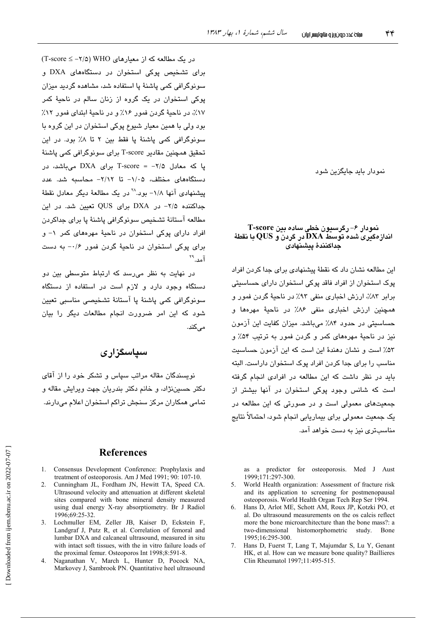نمو دار باید جایگزین شو د

#### نمودار ۶– رگرسیون خطی ساده بین T-score اندازهگیری شده توسط  $\mathbf{D}\mathbf{X}\mathbf{A}$  در گردن و  $\mathbf{Q}\mathbf{U}\mathbf{S}$  با نقطهٔ جداكنندة ينشنهادى

این مطالعه نشان داد که نقطهٔ پیشنهاد*ی* برای جدا کردن افراد پوک استخوان از افراد فاقد پوکی استخوان دارای حساسیتی برابر ٨٣٪، ارزش اخباري منفي ٩٣٪ در ناحية گردن فمور و همچنین ارزش اخباری منفی ۸۶٪ در ناحیهٔ مهردها و حساسیتی در حدود ۸۴٪ میباشد. میزان کفایت این آزمون نیز در ناحیهٔ مهرههای کمر و گردن فمور به ترتیب ۵۴٪ و ۵۳٪ است و نشان دهندهٔ این است که این آزمون حساسیت مناسب را برای جدا کردن افراد یوک استخوان داراست. البته باید در نظر داشت که این مطالعه در افرادی انجام گرفته است که شانس وجود یوکی استخوان در آنها بیشتر از جمعیتهای معمولی است و در صورتی که این مطالعه در یک جمعیت معمولی برای بیماریابی انجام شود، احتمالاً نتایج مناسبتری نیز به دست خواهد آمد.

as a predictor for osteoporosis. Med J Aust 1999;171:297-300.

- World Health organization: Assessment of fracture risk  $5<sub>1</sub>$ and its application to screening for postmenopausal osteoporosis. World Health Organ Tech Rep Ser 1994.
- Hans D, Arlot ME, Schott AM, Roux JP, Kotzki PO, et 6 al. Do ultrasound measurements on the os calcis reflect more the bone microarchitecture than the bone mass?: a two-dimensional histomorphometric study. Bone 1995:16:295-300.
- $7<sup>7</sup>$ Hans D, Fuerst T, Lang T, Majumdar S, Lu Y, Genant HK, et al. How can we measure bone quality? Baillieres Clin Rheumatol 1997;11:495-515.

در یک مطالعه که از معیارهای WHO (۲/۵- ≥ T-score) برای تشخیص پوکی استخوان در دستگاههای DXA و سونوگرافی کمی یاشنهٔ یا استفاده شد، مشاهده گردید میزان پوکی استخوان در یک گروه از زنان سالم در ناحیهٔ کمر ١٧٪، در ناحيهٔ گردن فمور ١۶٪ و در ناحيهٔ ابتداي فمور ١٢٪ بود ولي با همين معيار شيوع پوکي استخوان در اين گروه با سونوگرافی کمی پاشنهٔ پا فقط بین ۲ تا ۸٪ بود. در این تحقیق همچنین مقادیر T-score برای سونوگرافی کمی پاشنهٔ یا که معادل ۲/۵– = T-score برای DXA می باشد، در دستگاههای مختلف، ۱/۰۵– تا ۲/۱۲– محاسبه شد. عدد پیشنهادی آنها ۱/۸- بود.<sup>۲۸</sup> در یک مطالعهٔ دیگر معادل نقطهٔ جداکننده ۲/۵- در DXA برای QUS تعیین شد. در این مطالعه آستانهٔ تشخیص سونوگرافی پاشنهٔ پا برای جداکردن افراد دارای پوکی استخوان در ناحیهٔ مهرههای کمر ۱- و  $\cdot$ برای پوکی استخوان در ناحیهٔ گردن فمور ۱/۶– به دست آمد. \*\*

در نهایت به نظر می رسد که ارتباط متوسطی بین دو دستگاه وجود دارد و لازم است در استفاده از دستگاه سونوگرافی کمی پاشنهٔ پا آستانهٔ تشخیصی مناسبی تعیین شود که این امر ضرورت انجام مطالعات دیگر را بیان مے کند.

## سياسگزارى

نویسندگان مقاله مراتب سیاس و تشکر خود را از آقای دکتر حسيننژاد، و خانم دکتر بندريان جهت ويرايش مقاله و تمامی همکاران مرکز سنجش تراکم استخوان اعلام میدارند.

## **References**

- 1. Consensus Development Conference: Prophylaxis and treatment of osteoporosis. Am J Med 1991; 90: 107-10.
- 2. Cunningham JL, Fordham JN, Hewitt TA, Speed CA. Ultrasound velocity and attenuation at different skeletal sites compared with bone mineral density measured using dual energy X-ray absorptiometry. Br J Radiol 1996;69:25-32.
- 3. Lochmuller EM, Zeller JB, Kaiser D, Eckstein F Landgraf J, Putz R, et al. Correlation of femoral and lumbar DXA and calcaneal ultrasound, measured in situ with intact soft tissues, with the in vitro failure loads of the proximal femur. Osteoporos Int 1998;8:591-8.
- 4. Naganathan V, March L, Hunter D, Pocock NA, Markovey J, Sambrook PN. Quantitative heel ultrasound